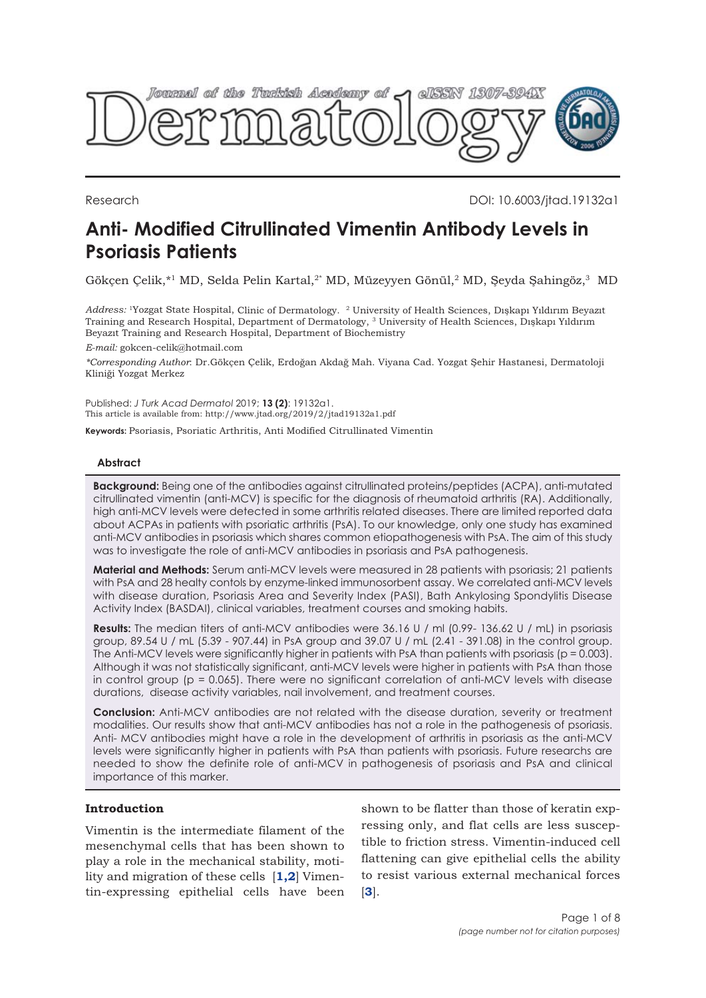

Research DOI: 10.6003/jtad.19132a1

# **Anti- Modified Citrullinated Vimentin Antibody Levels in Psoriasis Patients**

Gökçen Çelik,\*<sup>1</sup> MD, Selda Pelin Kartal,<sup>2\*</sup> MD, Müzeyyen Gönül,<sup>2</sup> MD, Şeyda Şahingöz,<sup>3</sup> MD

*Address:* <sup>1</sup>Yozgat State Hospital, Clinic of Dermatology. <sup>2</sup> University of Health Sciences, Dışkapı Yıldırım Beyazıt Training and Research Hospital, Department of Dermatology, <sup>3</sup> University of Health Sciences, Dışkapı Yıldırım Beyazıt Training and Research Hospital, Department of Biochemistry

*E-mail:* gokcen-celik@hotmail.com

*\*Corresponding Author*: Dr.Gökçen Çelik, Erdoğan Akdağ Mah. Viyana Cad. Yozgat Şehir Hastanesi, Dermatoloji Kliniği Yozgat Merkez

Published: *J Turk Acad Dermatol* 2019; **13 (2)**: 19132a1. This article is available from: http://www.jtad.org/2019/2/jtad19132a1.pdf

**Keywords:** Psoriasis, Psoriatic Arthritis, Anti Modified Citrullinated Vimentin

# **Abstract**

**Background:** Being one of the antibodies against citrullinated proteins/peptides (ACPA), anti-mutated citrullinated vimentin (anti-MCV) is specific for the diagnosis of rheumatoid arthritis (RA). Additionally, high anti-MCV levels were detected in some arthritis related diseases. There are limited reported data about ACPAs in patients with psoriatic arthritis (PsA). To our knowledge, only one study has examined anti-MCV antibodies in psoriasis which shares common etiopathogenesis with PsA. The aim of this study was to investigate the role of anti-MCV antibodies in psoriasis and PsA pathogenesis.

**Material and Methods:** Serum anti-MCV levels were measured in 28 patients with psoriasis; 21 patients with PsA and 28 healty contols by enzyme-linked immunosorbent assay. We correlated anti-MCV levels with disease duration, Psoriasis Area and Severity Index (PASI), Bath Ankylosing Spondylitis Disease Activity Index (BASDAI), clinical variables, treatment courses and smoking habits.

**Results:** The median titers of anti-MCV antibodies were 36.16 U / ml (0.99- 136.62 U / mL) in psoriasis group, 89.54 U / mL (5.39 - 907.44) in PsA group and 39.07 U / mL (2.41 - 391.08) in the control group. The Anti-MCV levels were significantly higher in patients with PsA than patients with psoriasis (p = 0.003). Although it was not statistically significant, anti-MCV levels were higher in patients with PsA than those in control group (p = 0.065). There were no significant correlation of anti-MCV levels with disease durations, disease activity variables, nail involvement, and treatment courses.

**Conclusion:** Anti-MCV antibodies are not related with the disease duration, severity or treatment modalities. Our results show that anti-MCV antibodies has not a role in the pathogenesis of psoriasis. Anti- MCV antibodies might have a role in the development of arthritis in psoriasis as the anti-MCV levels were significantly higher in patients with PsA than patients with psoriasis. Future researchs are needed to show the definite role of anti-MCV in pathogenesis of psoriasis and PsA and clinical importance of this marker.

#### **Introduction**

Vimentin is the intermediate filament of the mesenchymal cells that has been shown to play a role in the mechanical stability, motility and migration of these cells [**[1,2](#page-6-0)**] Vimentin-expressing epithelial cells have been

shown to be flatter than those of keratin expressing only, and flat cells are less susceptible to friction stress. Vimentin-induced cell flattening can give epithelial cells the ability to resist various external mechanical forces [**[3](#page-6-0)**].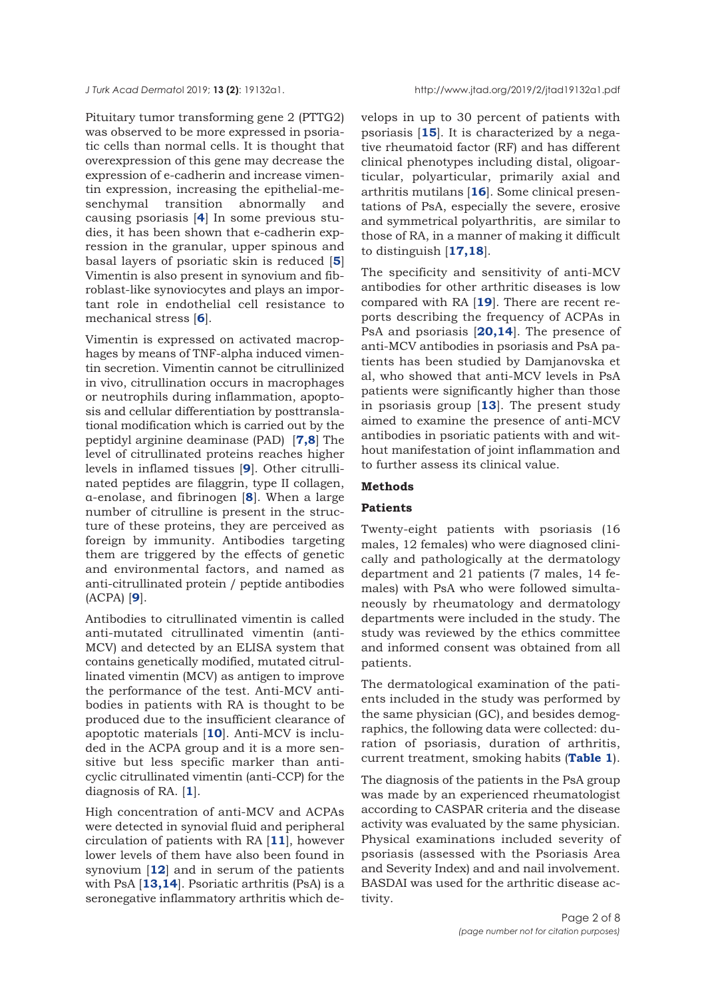Pituitary tumor transforming gene 2 (PTTG2) was observed to be more expressed in psoriatic cells than normal cells. It is thought that overexpression of this gene may decrease the expression of e-cadherin and increase vimentin expression, increasing the epithelial-mesenchymal transition abnormally and causing psoriasis [**[4](#page-6-0)**] In some previous studies, it has been shown that e-cadherin expression in the granular, upper spinous and basal layers of psoriatic skin is reduced [**[5](#page-6-0)**] Vimentin is also present in synovium and fibroblast-like synoviocytes and plays an important role in endothelial cell resistance to mechanical stress [**[6](#page-6-0)**].

Vimentin is expressed on activated macrophages by means of TNF-alpha induced vimentin secretion. Vimentin cannot be citrullinized in vivo, citrullination occurs in macrophages or neutrophils during inflammation, apoptosis and cellular differentiation by posttranslational modification which is carried out by the peptidyl arginine deaminase (PAD) [**[7,8](#page-6-0)**] The level of citrullinated proteins reaches higher levels in inflamed tissues [**[9](#page-6-0)**]. Other citrullinated peptides are filaggrin, type II collagen, α-enolase, and fibrinogen [**[8](#page-6-0)**]. When a large number of citrulline is present in the structure of these proteins, they are perceived as foreign by immunity. Antibodies targeting them are triggered by the effects of genetic and environmental factors, and named as anti-citrullinated protein / peptide antibodies (ACPA) [**[9](#page-6-0)**].

Antibodies to citrullinated vimentin is called anti-mutated citrullinated vimentin (anti-MCV) and detected by an ELISA system that contains genetically modified, mutated citrullinated vimentin (MCV) as antigen to improve the performance of the test. Anti-MCV antibodies in patients with RA is thought to be produced due to the insufficient clearance of apoptotic materials [**[10](#page-6-0)**]. Anti-MCV is included in the ACPA group and it is a more sensitive but less specific marker than anticyclic citrullinated vimentin (anti-CCP) for the diagnosis of RA. [**[1](#page-6-0)**].

High concentration of anti-MCV and ACPAs were detected in synovial fluid and peripheral circulation of patients with RA [**[11](#page-5-0)**], however lower levels of them have also been found in synovium [**[12](#page-6-0)**] and in serum of the patients with PsA [**[13,14](#page-6-0)**]. Psoriatic arthritis (PsA) is a seronegative inflammatory arthritis which develops in up to 30 percent of patients with psoriasis [**[15](#page-6-0)**]. It is characterized by a negative rheumatoid factor (RF) and has different clinical phenotypes including distal, oligoarticular, polyarticular, primarily axial and arthritis mutilans [**[16](#page-6-0)**]. Some clinical presentations of PsA, especially the severe, erosive and symmetrical polyarthritis, are similar to those of RA, in a manner of making it difficult to distinguish [**[17,18](#page-6-0)**].

The specificity and sensitivity of anti-MCV antibodies for other arthritic diseases is low compared with RA [**[19](#page-6-0)**]. There are recent reports describing the frequency of ACPAs in PsA and psoriasis [**[20,14](#page-6-0)**]. The presence of anti-MCV antibodies in psoriasis and PsA patients has been studied by Damjanovska et al, who showed that anti-MCV levels in PsA patients were significantly higher than those in psoriasis group [**[13](#page-6-0)**]. The present study aimed to examine the presence of anti-MCV antibodies in psoriatic patients with and without manifestation of joint inflammation and to further assess its clinical value.

# **Methods**

#### **Patients**

Twenty-eight patients with psoriasis (16 males, 12 females) who were diagnosed clinically and pathologically at the dermatology department and 21 patients (7 males, 14 females) with PsA who were followed simultaneously by rheumatology and dermatology departments were included in the study. The study was reviewed by the ethics committee and informed consent was obtained from all patients.

The dermatological examination of the patients included in the study was performed by the same physician (GC), and besides demographics, the following data were collected: duration of psoriasis, duration of arthritis, current treatment, smoking habits (**[Table 1](#page-2-0)**).

The diagnosis of the patients in the PsA group was made by an experienced rheumatologist according to CASPAR criteria and the disease activity was evaluated by the same physician. Physical examinations included severity of psoriasis (assessed with the Psoriasis Area and Severity Index) and and nail involvement. BASDAI was used for the arthritic disease activity.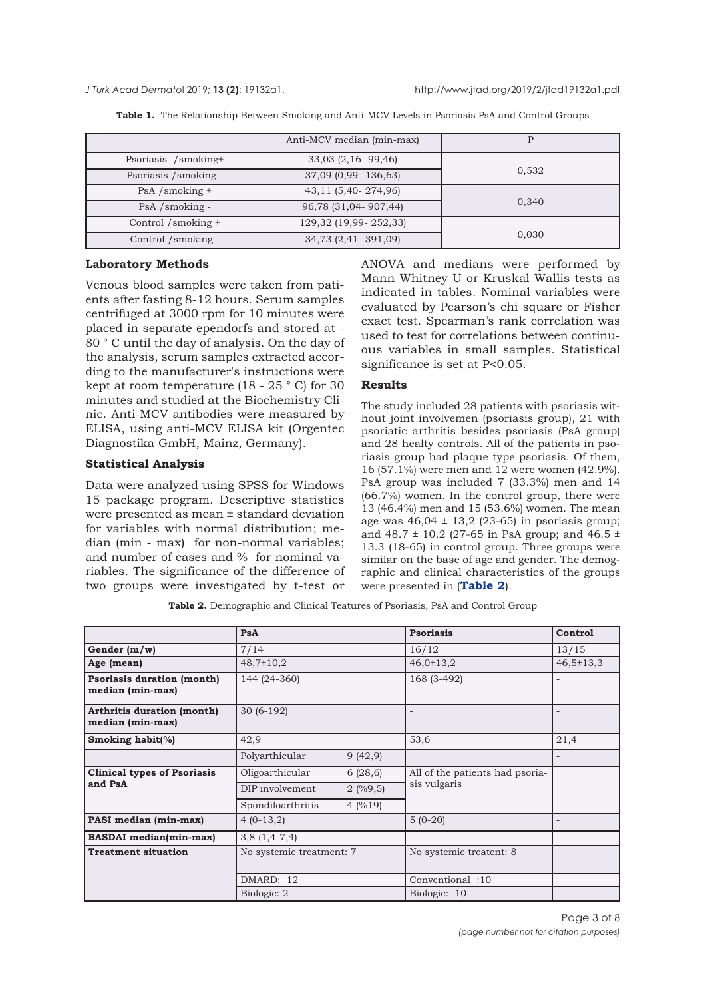<span id="page-2-0"></span>*J Turk Acad Dermato*l 2019; **13 (2)**: 19132a1. http://www.jtad.org/2019/2/jtad19132a1.pdf

|                       | Anti-MCV median (min-max) |       |  |
|-----------------------|---------------------------|-------|--|
| Psoriasis /smoking+   | $33,03$ $(2,16 - 99,46)$  | 0,532 |  |
| Psoriasis / smoking - | 37,09 (0,99- 136,63)      |       |  |
| PsA /smoking +        | 43,11 (5,40-274,96)       |       |  |
| PsA /smoking -        | 96,78 (31,04-907,44)      | 0,340 |  |
| Control /smoking +    | 129,32 (19,99-252,33)     |       |  |
| Control /smoking -    | 34,73 (2,41-391,09)       | 0,030 |  |

**Table 1.** The Relationship Between Smoking and Anti-MCV Levels in Psoriasis PsA and Control Groups

### **Laboratory Methods**

Venous blood samples were taken from patients after fasting 8-12 hours. Serum samples centrifuged at 3000 rpm for 10 minutes were placed in separate ependorfs and stored at - 80 ° C until the day of analysis. On the day of the analysis, serum samples extracted according to the manufacturer's instructions were kept at room temperature (18 - 25 ° C) for 30 minutes and studied at the Biochemistry Clinic. Anti-MCV antibodies were measured by ELISA, using anti-MCV ELISA kit (Orgentec Diagnostika GmbH, Mainz, Germany).

### **Statistical Analysis**

Data were analyzed using SPSS for Windows 15 package program. Descriptive statistics were presented as mean ± standard deviation for variables with normal distribution; median (min - max) for non-normal variables; and number of cases and % for nominal variables. The significance of the difference of two groups were investigated by t-test or

ANOVA and medians were performed by Mann Whitney U or Kruskal Wallis tests as indicated in tables. Nominal variables were evaluated by Pearson's chi square or Fisher exact test. Spearman's rank correlation was used to test for correlations between continuous variables in small samples. Statistical significance is set at P<0.05.

### **Results**

The study included 28 patients with psoriasis without joint involvemen (psoriasis group), 21 with psoriatic arthritis besides psoriasis (PsA group) and 28 healty controls. All of the patients in psoriasis group had plaque type psoriasis. Of them, 16 (57.1%) were men and 12 were women (42.9%). PsA group was included 7 (33.3%) men and 14 (66.7%) women. In the control group, there were 13 (46.4%) men and 15 (53.6%) women. The mean age was  $46,04 \pm 13,2$  (23-65) in psoriasis group; and 48.7  $\pm$  10.2 (27-65 in PsA group; and 46.5  $\pm$ 13.3 (18-65) in control group. Three groups were similar on the base of age and gender. The demographic and clinical characteristics of the groups were presented in (**Table 2**).

**Table 2.** Demographic and Clinical Teatures of Psoriasis, PsA and Control Group

|                                                       | PsA                                   |         | <b>Psoriasis</b>                | Control         |
|-------------------------------------------------------|---------------------------------------|---------|---------------------------------|-----------------|
| Gender $(m/w)$                                        | 7/14                                  |         | 16/12                           | 13/15           |
| Age (mean)                                            | $48,7 \pm 10,2$                       |         | $46,0 \pm 13,2$                 | $46,5 \pm 13,3$ |
| <b>Psoriasis duration (month)</b><br>median (min-max) | 144 (24-360)                          |         | 168 (3-492)                     |                 |
| <b>Arthritis duration (month)</b><br>median (min-max) | $30(6-192)$                           |         |                                 |                 |
| Smoking habit $(\%)$                                  | 42,9                                  |         | 53,6                            | 21,4            |
|                                                       | Polyarthicular                        | 9(42,9) |                                 |                 |
| <b>Clinical types of Psoriasis</b><br>and PsA         | Oligoarthicular                       | 6(28,6) | All of the patients had psoria- |                 |
|                                                       | DIP involvement                       | 2(%9,5) | sis vulgaris                    |                 |
|                                                       | Spondiloarthritis                     | 4(%19)  |                                 |                 |
| PASI median (min-max)                                 | $4(0-13,2)$                           |         | $5(0-20)$                       |                 |
| <b>BASDAI</b> median(min-max)                         | $3,8(1,4-7,4)$                        |         |                                 |                 |
| <b>Treatment situation</b>                            | No systemic treatment: 7<br>DMARD: 12 |         | No systemic treatent: 8         |                 |
|                                                       |                                       |         | Conventional:10                 |                 |
|                                                       | Biologic: 2                           |         | Biologic: 10                    |                 |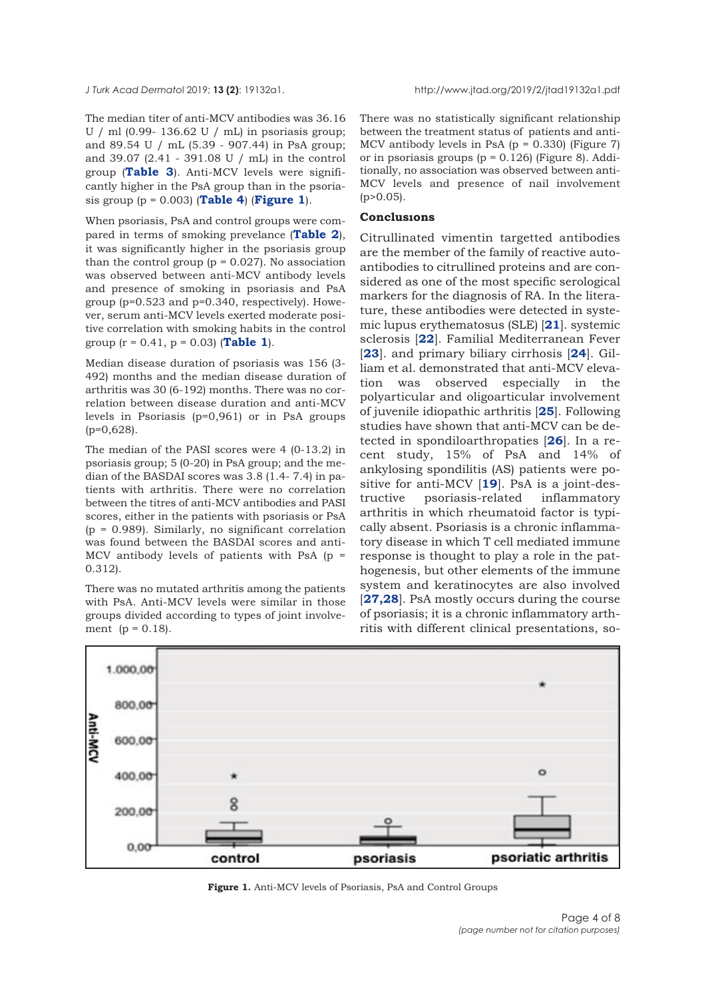The median titer of anti-MCV antibodies was 36.16 U / ml  $(0.99 - 136.62 \text{ U} / \text{ mL})$  in psoriasis group; and 89.54 U / mL (5.39 - 907.44) in PsA group; and 39.07 (2.41 - 391.08 U / mL) in the control group (**[Table 3](#page-4-0)**). Anti-MCV levels were significantly higher in the PsA group than in the psoriasis group (p = 0.003) (**[Table 4](#page-4-0)**) (**Figure 1**).

When psoriasis, PsA and control groups were compared in terms of smoking prevelance (**[Table 2](#page-2-0)**), it was significantly higher in the psoriasis group than the control group ( $p = 0.027$ ). No association was observed between anti-MCV antibody levels and presence of smoking in psoriasis and PsA group (p=0.523 and p=0.340, respectively). However, serum anti-MCV levels exerted moderate positive correlation with smoking habits in the control group (r = 0.41, p = 0.03) (**[Table 1](#page-2-0)**).

Median disease duration of psoriasis was 156 (3- 492) months and the median disease duration of arthritis was 30 (6-192) months. There was no correlation between disease duration and anti-MCV levels in Psoriasis (p=0,961) or in PsA groups (p=0,628).

The median of the PASI scores were 4 (0-13.2) in psoriasis group; 5 (0-20) in PsA group; and the median of the BASDAI scores was 3.8 (1.4- 7.4) in patients with arthritis. There were no correlation between the titres of anti-MCV antibodies and PASI scores, either in the patients with psoriasis or PsA (p = 0.989). Similarly, no significant correlation was found between the BASDAI scores and anti-MCV antibody levels of patients with PsA  $(p =$ 0.312).

There was no mutated arthritis among the patients with PsA. Anti-MCV levels were similar in those groups divided according to types of joint involvement ( $p = 0.18$ ).

There was no statistically significant relationship between the treatment status of patients and anti-MCV antibody levels in PsA  $(p = 0.330)$  (Figure 7) or in psoriasis groups ( $p = 0.126$ ) (Figure 8). Additionally, no association was observed between anti-MCV levels and presence of nail involvement  $(p>0.05)$ .

#### **Conclusıons**

Citrullinated vimentin targetted antibodies are the member of the family of reactive autoantibodies to citrullined proteins and are considered as one of the most specific serological markers for the diagnosis of RA. In the literature, these antibodies were detected in systemic lupus erythematosus (SLE) [**[21](#page-6-0)**]. systemic sclerosis [**[22](#page-6-0)**]. Familial Mediterranean Fever [**[23](#page-6-0)**]. and primary biliary cirrhosis [**[24](#page-7-0)**]. Gilliam et al. demonstrated that anti-MCV elevation was observed especially in the polyarticular and oligoarticular involvement of juvenile idiopathic arthritis [**[25](#page-7-0)**]. Following studies have shown that anti-MCV can be detected in spondiloarthropaties [**[26](#page-7-0)**]. In a recent study, 15% of PsA and 14% of ankylosing spondilitis (AS) patients were positive for anti-MCV [**[19](#page-6-0)**]. PsA is a joint-destructive psoriasis-related inflammatory arthritis in which rheumatoid factor is typically absent. Psoriasis is a chronic inflammatory disease in which T cell mediated immune response is thought to play a role in the pathogenesis, but other elements of the immune system and keratinocytes are also involved [**[27,28](#page-7-0)**]. PsA mostly occurs during the course of psoriasis; it is a chronic inflammatory arthritis with different clinical presentations, so-



**Figure 1.** Anti-MCV levels of Psoriasis, PsA and Control Groups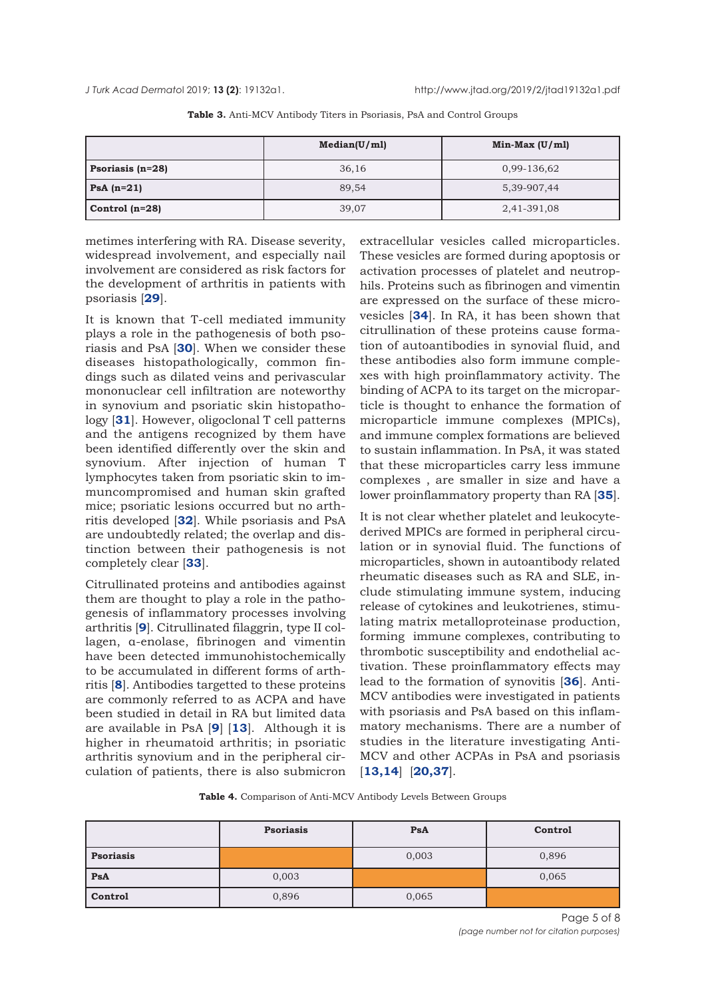<span id="page-4-0"></span>

|                  | Median(U/ml) | $Min-Max (U/ml)$ |
|------------------|--------------|------------------|
| Psoriasis (n=28) | 36,16        | 0,99-136,62      |
| $PsA(n=21)$      | 89.54        | 5,39-907,44      |
| Control $(n=28)$ | 39,07        | 2,41-391,08      |

**Table 3.** Anti-MCV Antibody Titers in Psoriasis, PsA and Control Groups

metimes interfering with RA. Disease severity, widespread involvement, and especially nail involvement are considered as risk factors for the development of arthritis in patients with psoriasis [**[29](#page-7-0)**].

It is known that T-cell mediated immunity plays a role in the pathogenesis of both psoriasis and PsA [**[30](#page-7-0)**]. When we consider these diseases histopathologically, common findings such as dilated veins and perivascular mononuclear cell infiltration are noteworthy in synovium and psoriatic skin histopathology [**[31](#page-7-0)**]. However, oligoclonal T cell patterns and the antigens recognized by them have been identified differently over the skin and synovium. After injection of human T lymphocytes taken from psoriatic skin to immuncompromised and human skin grafted mice; psoriatic lesions occurred but no arthritis developed [**[32](#page-7-0)**]. While psoriasis and PsA are undoubtedly related; the overlap and distinction between their pathogenesis is not completely clear [**[33](#page-7-0)**].

Citrullinated proteins and antibodies against them are thought to play a role in the pathogenesis of inflammatory processes involving arthritis [**[9](#page-6-0)**]. Citrullinated filaggrin, type II collagen, α-enolase, fibrinogen and vimentin have been detected immunohistochemically to be accumulated in different forms of arthritis [**[8](#page-6-0)**]. Antibodies targetted to these proteins are commonly referred to as ACPA and have been studied in detail in RA but limited data are available in PsA [**[9](#page-6-0)**] [**[13](#page-6-0)**]. Although it is higher in rheumatoid arthritis; in psoriatic arthritis synovium and in the peripheral circulation of patients, there is also submicron

extracellular vesicles called microparticles. These vesicles are formed during apoptosis or activation processes of platelet and neutrophils. Proteins such as fibrinogen and vimentin are expressed on the surface of these microvesicles [**[34](#page-7-0)**]. In RA, it has been shown that citrullination of these proteins cause formation of autoantibodies in synovial fluid, and these antibodies also form immune complexes with high proinflammatory activity. The binding of ACPA to its target on the microparticle is thought to enhance the formation of microparticle immune complexes (MPICs), and immune complex formations are believed to sustain inflammation. In PsA, it was stated that these microparticles carry less immune complexes , are smaller in size and have a lower proinflammatory property than RA [**[35](#page-7-0)**].

It is not clear whether platelet and leukocytederived MPICs are formed in peripheral circulation or in synovial fluid. The functions of microparticles, shown in autoantibody related rheumatic diseases such as RA and SLE, include stimulating immune system, inducing release of cytokines and leukotrienes, stimulating matrix metalloproteinase production, forming immune complexes, contributing to thrombotic susceptibility and endothelial activation. These proinflammatory effects may lead to the formation of synovitis [**[36](#page-7-0)**]. Anti-MCV antibodies were investigated in patients with psoriasis and PsA based on this inflammatory mechanisms. There are a number of studies in the literature investigating Anti-MCV and other ACPAs in PsA and psoriasis [**[13,14](#page-6-0)**] [**[20](#page-6-0)[,37](#page-7-0)**].

**Table 4.** Comparison of Anti-MCV Antibody Levels Between Groups

|                  | <b>Psoriasis</b> | PsA   | Control |
|------------------|------------------|-------|---------|
| <b>Psoriasis</b> |                  | 0,003 | 0,896   |
| PsA              | 0,003            |       | 0,065   |
| Control          | 0,896            | 0,065 |         |

Page 5 of 8 *(page number not for citation purposes)*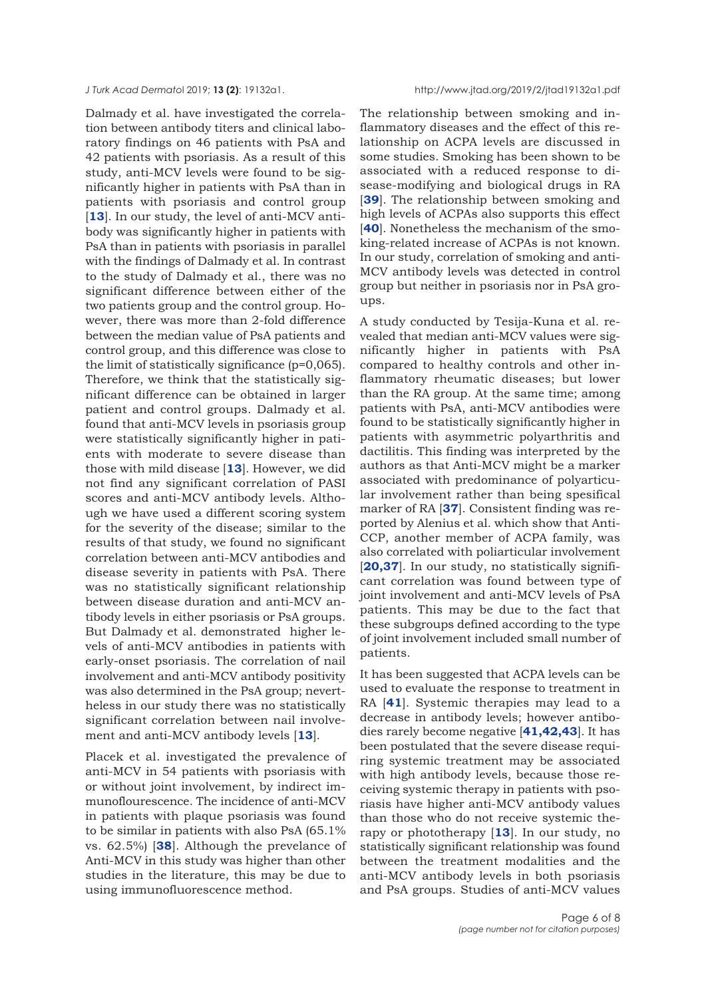<span id="page-5-0"></span>Dalmady et al. have investigated the correlation between antibody titers and clinical laboratory findings on 46 patients with PsA and 42 patients with psoriasis. As a result of this study, anti-MCV levels were found to be significantly higher in patients with PsA than in patients with psoriasis and control group [[13](#page-6-0)]. In our study, the level of anti-MCV antibody was significantly higher in patients with PsA than in patients with psoriasis in parallel with the findings of Dalmady et al. In contrast to the study of Dalmady et al., there was no significant difference between either of the two patients group and the control group. However, there was more than 2-fold difference between the median value of PsA patients and control group, and this difference was close to the limit of statistically significance (p=0,065). Therefore, we think that the statistically significant difference can be obtained in larger patient and control groups. Dalmady et al. found that anti-MCV levels in psoriasis group were statistically significantly higher in patients with moderate to severe disease than those with mild disease [**[13](#page-6-0)**]. However, we did not find any significant correlation of PASI scores and anti-MCV antibody levels. Although we have used a different scoring system for the severity of the disease; similar to the results of that study, we found no significant correlation between anti-MCV antibodies and disease severity in patients with PsA. There was no statistically significant relationship between disease duration and anti-MCV antibody levels in either psoriasis or PsA groups. But Dalmady et al. demonstrated higher levels of anti-MCV antibodies in patients with early-onset psoriasis. The correlation of nail involvement and anti-MCV antibody positivity was also determined in the PsA group; nevertheless in our study there was no statistically significant correlation between nail involvement and anti-MCV antibody levels [**[13](#page-6-0)**].

Placek et al. investigated the prevalence of anti-MCV in 54 patients with psoriasis with or without joint involvement, by indirect immunoflourescence. The incidence of anti-MCV in patients with plaque psoriasis was found to be similar in patients with also PsA (65.1% vs. 62.5%) [**[38](#page-7-0)**]. Although the prevelance of Anti-MCV in this study was higher than other studies in the literature, this may be due to using immunofluorescence method.

The relationship between smoking and inflammatory diseases and the effect of this relationship on ACPA levels are discussed in some studies. Smoking has been shown to be associated with a reduced response to disease-modifying and biological drugs in RA [[39](#page-7-0)]. The relationship between smoking and high levels of ACPAs also supports this effect [[40](#page-7-0)]. Nonetheless the mechanism of the smoking-related increase of ACPAs is not known. In our study, correlation of smoking and anti-MCV antibody levels was detected in control group but neither in psoriasis nor in PsA groups.

A study conducted by Tesija-Kuna et al. revealed that median anti-MCV values were significantly higher in patients with PsA compared to healthy controls and other inflammatory rheumatic diseases; but lower than the RA group. At the same time; among patients with PsA, anti-MCV antibodies were found to be statistically significantly higher in patients with asymmetric polyarthritis and dactilitis. This finding was interpreted by the authors as that Anti-MCV might be a marker associated with predominance of polyarticular involvement rather than being spesifical marker of RA [**[37](#page-7-0)**]. Consistent finding was reported by Alenius et al. which show that Anti-CCP, another member of ACPA family, was also correlated with poliarticular involvement [**[20](#page-6-0)[,37](#page-7-0)**]. In our study, no statistically significant correlation was found between type of joint involvement and anti-MCV levels of PsA patients. This may be due to the fact that these subgroups defined according to the type of joint involvement included small number of patients.

It has been suggested that ACPA levels can be used to evaluate the response to treatment in RA [**[41](#page-7-0)**]. Systemic therapies may lead to a decrease in antibody levels; however antibodies rarely become negative [**[41,42,43](#page-7-0)**]. It has been postulated that the severe disease requiring systemic treatment may be associated with high antibody levels, because those receiving systemic therapy in patients with psoriasis have higher anti-MCV antibody values than those who do not receive systemic therapy or phototherapy [**[13](#page-6-0)**]. In our study, no statistically significant relationship was found between the treatment modalities and the anti-MCV antibody levels in both psoriasis and PsA groups. Studies of anti-MCV values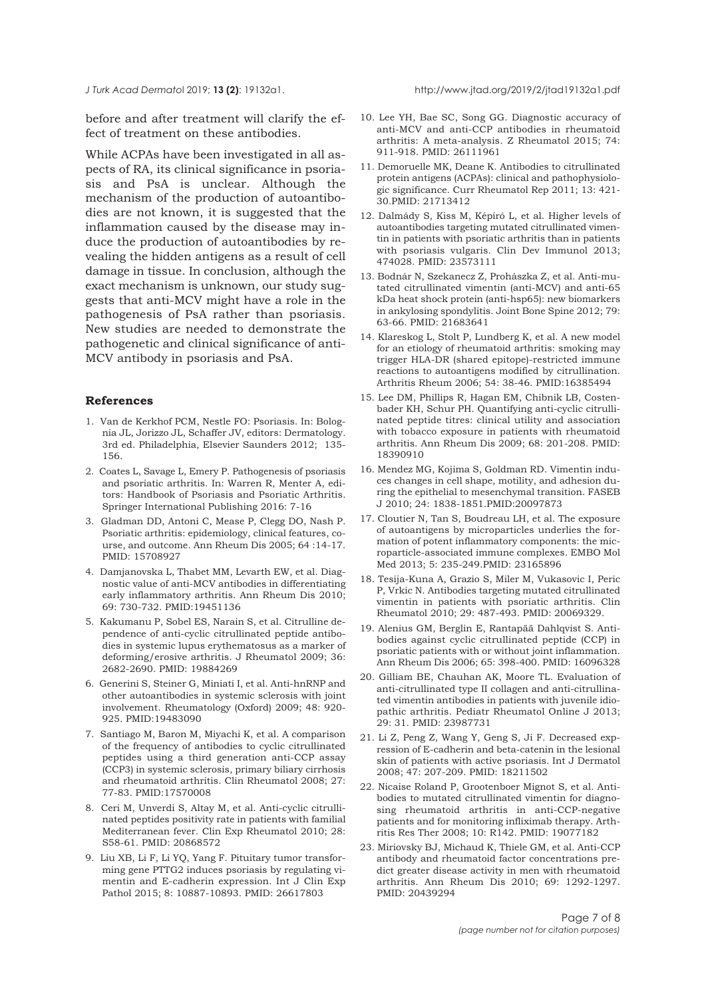<span id="page-6-0"></span>

before and after treatment will clarify the effect of treatment on these antibodies.

While ACPAs have been investigated in all aspects of RA, its clinical significance in psoriasis and PsA is unclear. Although the mechanism of the production of autoantibodies are not known, it is suggested that the inflammation caused by the disease may induce the production of autoantibodies by revealing the hidden antigens as a result of cell damage in tissue. In conclusion, although the exact mechanism is unknown, our study suggests that anti-MCV might have a role in the pathogenesis of PsA rather than psoriasis. New studies are needed to demonstrate the pathogenetic and clinical significance of anti-MCV antibody in psoriasis and PsA.

#### **References**

- 1. Van de Kerkhof PCM, Nestle FO: Psoriasis. In: Bolognia JL, Jorizzo JL, Schaffer JV, editors: Dermatology. 3rd ed. Philadelphia, Elsevier Saunders 2012; 135- 156.
- 2. Coates L, Savage L, Emery P. Pathogenesis of psoriasis and psoriatic arthritis. In: Warren R, Menter A, editors: Handbook of Psoriasis and Psoriatic Arthritis. Springer International Publishing 2016: 7-16
- 3. Gladman DD, Antoni C, Mease P, Clegg DO, Nash P. Psoriatic arthritis: epidemiology, clinical features, course, and outcome. Ann Rheum Dis 2005; 64 :14-17. PMID: 15708927
- 4. Damjanovska L, Thabet MM, Levarth EW, et al. Diagnostic value of anti-MCV antibodies in differentiating early inflammatory arthritis. Ann Rheum Dis 2010; 69: 730-732. PMID:19451136
- 5. Kakumanu P, Sobel ES, Narain S, et al. Citrulline dependence of anti-cyclic citrullinated peptide antibodies in systemic lupus erythematosus as a marker of deforming/erosive arthritis. J Rheumatol 2009; 36: 2682-2690. PMID: 19884269
- 6. Generini S, Steiner G, Miniati I, et al. Anti-hnRNP and other autoantibodies in systemic sclerosis with joint involvement. Rheumatology (Oxford) 2009; 48: 920- 925. PMID:19483090
- 7. Santiago M, Baron M, Miyachi K, et al. A comparison of the frequency of antibodies to cyclic citrullinated peptides using a third generation anti-CCP assay (CCP3) in systemic sclerosis, primary biliary cirrhosis and rheumatoid arthritis. Clin Rheumatol 2008; 27: 77-83. PMID:17570008
- 8. Ceri M, Unverdi S, Altay M, et al. Anti-cyclic citrullinated peptides positivity rate in patients with familial Mediterranean fever. Clin Exp Rheumatol 2010; 28: S58-61. PMID: 20868572
- 9. Liu XB, Li F, Li YQ, Yang F. Pituitary tumor transforming gene PTTG2 induces psoriasis by regulating vimentin and E-cadherin expression. Int J Clin Exp Pathol 2015; 8: 10887-10893. PMID: 26617803
- 10. Lee YH, Bae SC, Song GG. Diagnostic accuracy of anti-MCV and anti-CCP antibodies in rheumatoid arthritis: A meta-analysis. Z Rheumatol 2015; 74: 911-918. PMID: 26111961
- 11. Demoruelle MK, Deane K. Antibodies to citrullinated protein antigens (ACPAs): clinical and pathophysiologic significance. Curr Rheumatol Rep 2011; 13: 421- 30.PMID: 21713412
- 12. Dalmády S, Kiss M, Képíró L, et al. Higher levels of autoantibodies targeting mutated citrullinated vimentin in patients with psoriatic arthritis than in patients with psoriasis vulgaris. Clin Dev Immunol 2013; 474028. PMID: 23573111
- 13. Bodnár N, Szekanecz Z, Prohászka Z, et al. Anti-mutated citrullinated vimentin (anti-MCV) and anti-65 kDa heat shock protein (anti-hsp65): new biomarkers in ankylosing spondylitis. Joint Bone Spine 2012; 79: 63-66. PMID: 21683641
- 14. Klareskog L, Stolt P, Lundberg K, et al. A new model for an etiology of rheumatoid arthritis: smoking may trigger HLA-DR (shared epitope)-restricted immune reactions to autoantigens modified by citrullination. Arthritis Rheum 2006; 54: 38-46. PMID:16385494
- 15. Lee DM, Phillips R, Hagan EM, Chibnik LB, Costenbader KH, Schur PH. Quantifying anti-cyclic citrullinated peptide titres: clinical utility and association with tobacco exposure in patients with rheumatoid arthritis. Ann Rheum Dis 2009; 68: 201-208. PMID: 18390910
- 16. Mendez MG, Kojima S, Goldman RD. Vimentin induces changes in cell shape, motility, and adhesion during the epithelial to mesenchymal transition. FASEB J 2010; 24: 1838-1851.PMID:20097873
- 17. Cloutier N, Tan S, Boudreau LH, et al. The exposure of autoantigens by microparticles underlies the formation of potent inflammatory components: the microparticle-associated immune complexes. EMBO Mol Med 2013; 5: 235-249.PMID: 23165896
- 18. Tesija-Kuna A, Grazio S, Miler M, Vukasovic I, Peric P, Vrkic N. Antibodies targeting mutated citrullinated vimentin in patients with psoriatic arthritis. Clin Rheumatol 2010; 29: 487-493. PMID: 20069329.
- 19. Alenius GM, Berglin E, Rantapää Dahlqvist S. Antibodies against cyclic citrullinated peptide (CCP) in psoriatic patients with or without joint inflammation. Ann Rheum Dis 2006; 65: 398-400. PMID: 16096328
- 20. Gilliam BE, Chauhan AK, Moore TL. Evaluation of anti-citrullinated type II collagen and anti-citrullinated vimentin antibodies in patients with juvenile idiopathic arthritis. Pediatr Rheumatol Online J 2013; 29: 31. PMID: 23987731
- 21. Li Z, Peng Z, Wang Y, Geng S, Ji F. Decreased expression of E-cadherin and beta-catenin in the lesional skin of patients with active psoriasis. Int J Dermatol 2008; 47: 207-209. PMID: 18211502
- 22. Nicaise Roland P, Grootenboer Mignot S, et al. Antibodies to mutated citrullinated vimentin for diagnosing rheumatoid arthritis in anti-CCP-negative patients and for monitoring infliximab therapy. Arthritis Res Ther 2008; 10: R142. PMID: 19077182
- 23. Miriovsky BJ, Michaud K, Thiele GM, et al. Anti-CCP antibody and rheumatoid factor concentrations predict greater disease activity in men with rheumatoid arthritis. Ann Rheum Dis 2010; 69: 1292-1297. PMID: 20439294